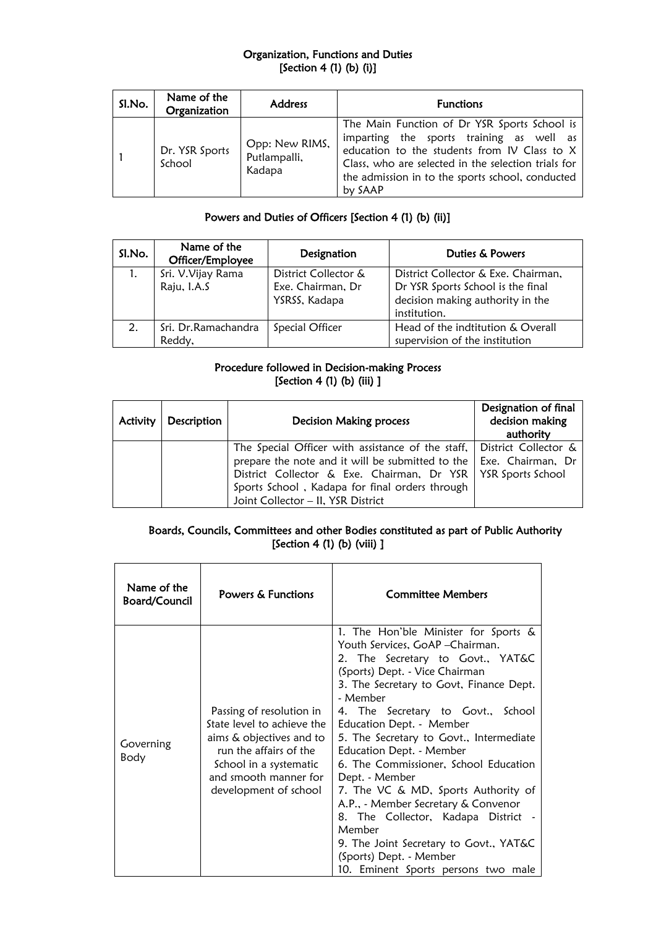## Organization, Functions and Duties [Section 4 (1) (b) (i)]

| Sl.No. | Name of the<br>Organization | <b>Address</b>                           | <b>Functions</b>                                                                                                                                                                                                                                               |
|--------|-----------------------------|------------------------------------------|----------------------------------------------------------------------------------------------------------------------------------------------------------------------------------------------------------------------------------------------------------------|
|        | Dr. YSR Sports<br>School    | Opp: New RIMS,<br>Putlampalli,<br>Kadapa | The Main Function of Dr YSR Sports School is<br>imparting the sports training as well as<br>education to the students from IV Class to X<br>Class, who are selected in the selection trials for<br>the admission in to the sports school, conducted<br>by SAAP |

# Powers and Duties of Officers [Section 4 (1) (b) (ii)]

| Sl.No. | Name of the<br>Officer/Employee | Designation          | Duties & Powers                     |
|--------|---------------------------------|----------------------|-------------------------------------|
| 1.     | Sri. V. Vijay Rama              | District Collector & | District Collector & Exe. Chairman, |
|        | Raju, I.A.S                     | Exe. Chairman, Dr    | Dr YSR Sports School is the final   |
|        |                                 | YSRSS, Kadapa        | decision making authority in the    |
|        |                                 |                      | institution.                        |
| 2.     | Sri. Dr.Ramachandra             | Special Officer      | Head of the indtitution & Overall   |
|        | Reddy,                          |                      | supervision of the institution      |

## Procedure followed in Decision-making Process [Section 4 (1) (b) (iii) ]

| Activity | Description | <b>Decision Making process</b>                                            | Designation of final<br>decision making<br>authority |
|----------|-------------|---------------------------------------------------------------------------|------------------------------------------------------|
|          |             | The Special Officer with assistance of the staff, District Collector $\&$ |                                                      |
|          |             | prepare the note and it will be submitted to the   Exe. Chairman, Dr      |                                                      |
|          |             | District Collector & Exe. Chairman, Dr YSR   YSR Sports School            |                                                      |
|          |             | Sports School, Kadapa for final orders through                            |                                                      |
|          |             | Joint Collector - II, YSR District                                        |                                                      |

## Boards, Councils, Committees and other Bodies constituted as part of Public Authority [Section 4 (1) (b) (viii) ]

| Name of the<br><b>Board/Council</b> | Powers & Functions                                                                                                                                                                       | <b>Committee Members</b>                                                                                                                                                                                                                                                                                                                                                                                                                                                                                                                                                                                                                            |
|-------------------------------------|------------------------------------------------------------------------------------------------------------------------------------------------------------------------------------------|-----------------------------------------------------------------------------------------------------------------------------------------------------------------------------------------------------------------------------------------------------------------------------------------------------------------------------------------------------------------------------------------------------------------------------------------------------------------------------------------------------------------------------------------------------------------------------------------------------------------------------------------------------|
| Governing<br>Body                   | Passing of resolution in<br>State level to achieve the<br>aims & objectives and to<br>run the affairs of the<br>School in a systematic<br>and smooth manner for<br>development of school | 1. The Hon'ble Minister for Sports &<br>Youth Services, GoAP - Chairman.<br>2. The Secretary to Govt., YAT&C<br>(Sports) Dept. - Vice Chairman<br>3. The Secretary to Govt, Finance Dept.<br>- Member<br>4. The Secretary to Govt., School<br>Education Dept. - Member<br>5. The Secretary to Govt., Intermediate<br>Education Dept. - Member<br>6. The Commissioner, School Education<br>Dept. - Member<br>7. The VC & MD, Sports Authority of<br>A.P., - Member Secretary & Convenor<br>8. The Collector, Kadapa District -<br>Member<br>9. The Joint Secretary to Govt., YAT&C<br>(Sports) Dept. - Member<br>10. Eminent Sports persons two male |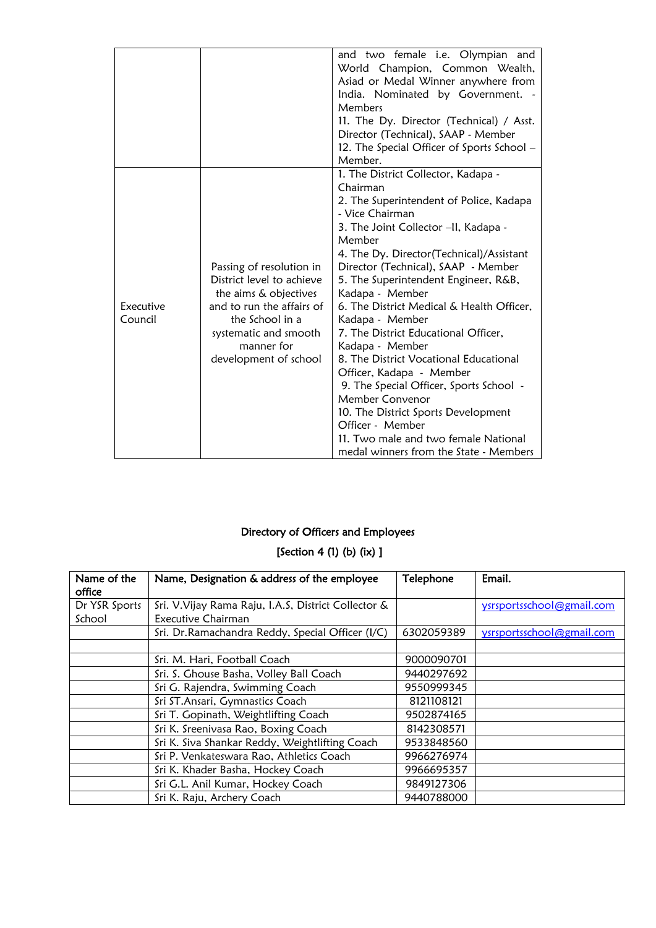|                      |                                                                                                                                                                                                | and two female i.e. Olympian and<br>World Champion, Common Wealth,<br>Asiad or Medal Winner anywhere from<br>India. Nominated by Government. -<br>Members<br>11. The Dy. Director (Technical) / Asst.<br>Director (Technical), SAAP - Member<br>12. The Special Officer of Sports School -<br>Member.                                                                                                                                                                                                                                                                                                                                                                                                                     |
|----------------------|------------------------------------------------------------------------------------------------------------------------------------------------------------------------------------------------|---------------------------------------------------------------------------------------------------------------------------------------------------------------------------------------------------------------------------------------------------------------------------------------------------------------------------------------------------------------------------------------------------------------------------------------------------------------------------------------------------------------------------------------------------------------------------------------------------------------------------------------------------------------------------------------------------------------------------|
| Executive<br>Council | Passing of resolution in<br>District level to achieve<br>the aims & objectives<br>and to run the affairs of<br>the School in a<br>systematic and smooth<br>manner for<br>development of school | 1. The District Collector, Kadapa -<br>Chairman<br>2. The Superintendent of Police, Kadapa<br>- Vice Chairman<br>3. The Joint Collector -II, Kadapa -<br>Member<br>4. The Dy. Director(Technical)/Assistant<br>Director (Technical), SAAP - Member<br>5. The Superintendent Engineer, R&B,<br>Kadapa - Member<br>6. The District Medical & Health Officer,<br>Kadapa - Member<br>7. The District Educational Officer,<br>Kadapa - Member<br>8. The District Vocational Educational<br>Officer, Kadapa - Member<br>9. The Special Officer, Sports School -<br>Member Convenor<br>10. The District Sports Development<br>Officer - Member<br>11. Two male and two female National<br>medal winners from the State - Members |

# Directory of Officers and Employees

# [Section 4 (1) (b) (ix) ]

| Name of the   | Name, Designation & address of the employee          | Telephone  | Email.                    |
|---------------|------------------------------------------------------|------------|---------------------------|
| office        |                                                      |            |                           |
| Dr YSR Sports | Sri. V. Vijay Rama Raju, I.A.S, District Collector & |            | ysrsportsschool@gmail.com |
| School        | Executive Chairman                                   |            |                           |
|               | Sri. Dr.Ramachandra Reddy, Special Officer (I/C)     | 6302059389 | ysrsportsschool@gmail.com |
|               |                                                      |            |                           |
|               | Sri. M. Hari, Football Coach                         | 9000090701 |                           |
|               | Sri. S. Ghouse Basha, Volley Ball Coach              | 9440297692 |                           |
|               | Sri G. Rajendra, Swimming Coach                      | 9550999345 |                           |
|               | Sri ST. Ansari, Gymnastics Coach                     | 8121108121 |                           |
|               | Sri T. Gopinath, Weightlifting Coach                 | 9502874165 |                           |
|               | Sri K. Sreenivasa Rao, Boxing Coach                  | 8142308571 |                           |
|               | Sri K. Siva Shankar Reddy, Weightlifting Coach       | 9533848560 |                           |
|               | Sri P. Venkateswara Rao, Athletics Coach             | 9966276974 |                           |
|               | Sri K. Khader Basha, Hockey Coach                    | 9966695357 |                           |
|               | Sri G.L. Anil Kumar, Hockey Coach                    | 9849127306 |                           |
|               | Sri K. Raju, Archery Coach                           | 9440788000 |                           |